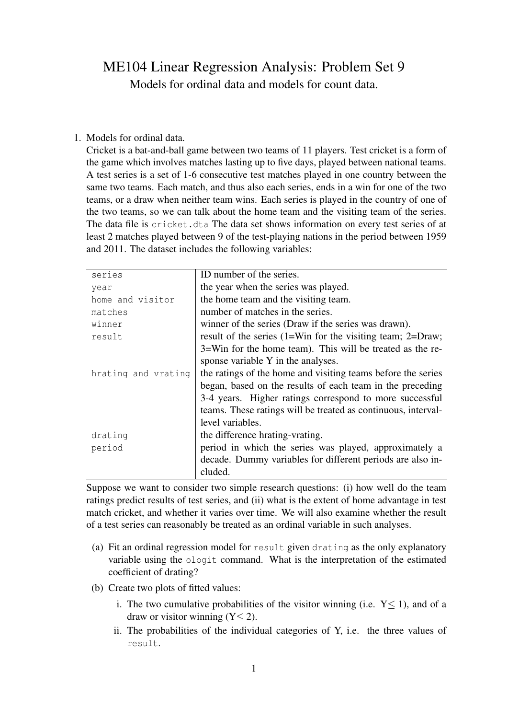## ME104 Linear Regression Analysis: Problem Set 9 Models for ordinal data and models for count data.

## 1. Models for ordinal data.

Cricket is a bat-and-ball game between two teams of 11 players. Test cricket is a form of the game which involves matches lasting up to five days, played between national teams. A test series is a set of 1-6 consecutive test matches played in one country between the same two teams. Each match, and thus also each series, ends in a win for one of the two teams, or a draw when neither team wins. Each series is played in the country of one of the two teams, so we can talk about the home team and the visiting team of the series. The data file is cricket.dta The data set shows information on every test series of at least 2 matches played between 9 of the test-playing nations in the period between 1959 and 2011. The dataset includes the following variables:

| series              | ID number of the series.                                              |  |
|---------------------|-----------------------------------------------------------------------|--|
| year                | the year when the series was played.                                  |  |
| home and visitor    | the home team and the visiting team.                                  |  |
| matches             | number of matches in the series.                                      |  |
| winner              | winner of the series (Draw if the series was drawn).                  |  |
| result              | result of the series $(1=W\text{in}$ for the visiting team; $2=Draw;$ |  |
|                     | 3=Win for the home team). This will be treated as the re-             |  |
|                     | sponse variable Y in the analyses.                                    |  |
| hrating and vrating | the ratings of the home and visiting teams before the series          |  |
|                     | began, based on the results of each team in the preceding             |  |
|                     | 3-4 years. Higher ratings correspond to more successful               |  |
|                     | teams. These ratings will be treated as continuous, interval-         |  |
|                     | level variables.                                                      |  |
| drating             | the difference hrating-vrating.                                       |  |
| period              | period in which the series was played, approximately a                |  |
|                     | decade. Dummy variables for different periods are also in-            |  |
|                     | cluded.                                                               |  |
|                     |                                                                       |  |

Suppose we want to consider two simple research questions: (i) how well do the team ratings predict results of test series, and (ii) what is the extent of home advantage in test match cricket, and whether it varies over time. We will also examine whether the result of a test series can reasonably be treated as an ordinal variable in such analyses.

- (a) Fit an ordinal regression model for result given drating as the only explanatory variable using the ologit command. What is the interpretation of the estimated coefficient of drating?
- (b) Create two plots of fitted values:
	- i. The two cumulative probabilities of the visitor winning (i.e.  $Y \le 1$ ), and of a draw or visitor winning  $(Y < 2)$ .
	- ii. The probabilities of the individual categories of Y, i.e. the three values of result.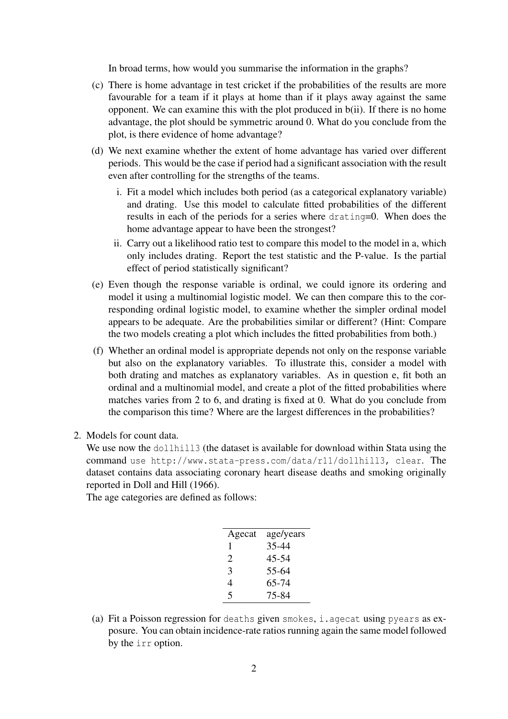In broad terms, how would you summarise the information in the graphs?

- (c) There is home advantage in test cricket if the probabilities of the results are more favourable for a team if it plays at home than if it plays away against the same opponent. We can examine this with the plot produced in b(ii). If there is no home advantage, the plot should be symmetric around 0. What do you conclude from the plot, is there evidence of home advantage?
- (d) We next examine whether the extent of home advantage has varied over different periods. This would be the case if period had a significant association with the result even after controlling for the strengths of the teams.
	- i. Fit a model which includes both period (as a categorical explanatory variable) and drating. Use this model to calculate fitted probabilities of the different results in each of the periods for a series where drating=0. When does the home advantage appear to have been the strongest?
	- ii. Carry out a likelihood ratio test to compare this model to the model in a, which only includes drating. Report the test statistic and the P-value. Is the partial effect of period statistically significant?
- (e) Even though the response variable is ordinal, we could ignore its ordering and model it using a multinomial logistic model. We can then compare this to the corresponding ordinal logistic model, to examine whether the simpler ordinal model appears to be adequate. Are the probabilities similar or different? (Hint: Compare the two models creating a plot which includes the fitted probabilities from both.)
- (f) Whether an ordinal model is appropriate depends not only on the response variable but also on the explanatory variables. To illustrate this, consider a model with both drating and matches as explanatory variables. As in question e, fit both an ordinal and a multinomial model, and create a plot of the fitted probabilities where matches varies from 2 to 6, and drating is fixed at 0. What do you conclude from the comparison this time? Where are the largest differences in the probabilities?
- 2. Models for count data.

We use now the  $d$ ollhill3 (the dataset is available for download within Stata using the command use http://www.stata-press.com/data/r11/dollhill3, clear. The dataset contains data associating coronary heart disease deaths and smoking originally reported in Doll and Hill (1966).

The age categories are defined as follows:

| Agecat | age/years |
|--------|-----------|
| 1      | 35-44     |
| 2      | 45-54     |
| 3      | 55-64     |
| 4      | 65-74     |
| 5      | 75-84     |
|        |           |

(a) Fit a Poisson regression for deaths given smokes, i.agecat using pyears as exposure. You can obtain incidence-rate ratios running again the same model followed by the irr option.